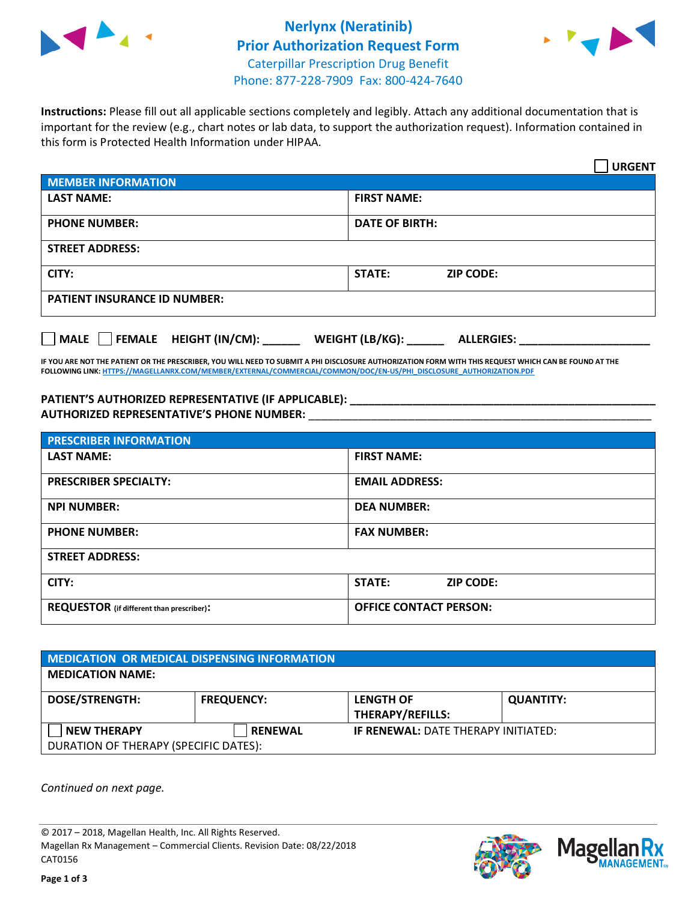

## **Nerlynx (Neratinib) Prior Authorization Request Form** Caterpillar Prescription Drug Benefit Phone: 877-228-7909 Fax: 800-424-7640



**Instructions:** Please fill out all applicable sections completely and legibly. Attach any additional documentation that is important for the review (e.g., chart notes or lab data, to support the authorization request). Information contained in this form is Protected Health Information under HIPAA.

|                                       | <b>URGENT</b>                        |  |  |  |
|---------------------------------------|--------------------------------------|--|--|--|
| <b>MEMBER INFORMATION</b>             |                                      |  |  |  |
| <b>LAST NAME:</b>                     | <b>FIRST NAME:</b>                   |  |  |  |
| <b>PHONE NUMBER:</b>                  | <b>DATE OF BIRTH:</b>                |  |  |  |
| <b>STREET ADDRESS:</b>                |                                      |  |  |  |
| CITY:                                 | <b>STATE:</b><br><b>ZIP CODE:</b>    |  |  |  |
| <b>PATIENT INSURANCE ID NUMBER:</b>   |                                      |  |  |  |
| FEMALE HEIGHT (IN/CM):<br><b>MALE</b> | WEIGHT (LB/KG):<br><b>ALLERGIES:</b> |  |  |  |

**IF YOU ARE NOT THE PATIENT OR THE PRESCRIBER, YOU WILL NEED TO SUBMIT A PHI DISCLOSURE AUTHORIZATION FORM WITH THIS REQUEST WHICH CAN BE FOUND AT THE FOLLOWING LINK[: HTTPS://MAGELLANRX.COM/MEMBER/EXTERNAL/COMMERCIAL/COMMON/DOC/EN-US/PHI\\_DISCLOSURE\\_AUTHORIZATION.PDF](https://magellanrx.com/member/external/commercial/common/doc/en-us/PHI_Disclosure_Authorization.pdf)**

**PATIENT'S AUTHORIZED REPRESENTATIVE (IF APPLICABLE): \_\_\_\_\_\_\_\_\_\_\_\_\_\_\_\_\_\_\_\_\_\_\_\_\_\_\_\_\_\_\_\_\_\_\_\_\_\_\_\_\_\_\_\_\_\_\_\_\_ AUTHORIZED REPRESENTATIVE'S PHONE NUMBER:** \_\_\_\_\_\_\_\_\_\_\_\_\_\_\_\_\_\_\_\_\_\_\_\_\_\_\_\_\_\_\_\_\_\_\_\_\_\_\_\_\_\_\_\_\_\_\_\_\_\_\_\_\_\_\_

| <b>PRESCRIBER INFORMATION</b>             |                               |  |  |  |
|-------------------------------------------|-------------------------------|--|--|--|
| <b>LAST NAME:</b>                         | <b>FIRST NAME:</b>            |  |  |  |
| <b>PRESCRIBER SPECIALTY:</b>              | <b>EMAIL ADDRESS:</b>         |  |  |  |
| <b>NPI NUMBER:</b>                        | <b>DEA NUMBER:</b>            |  |  |  |
| <b>PHONE NUMBER:</b>                      | <b>FAX NUMBER:</b>            |  |  |  |
| <b>STREET ADDRESS:</b>                    |                               |  |  |  |
| CITY:                                     | STATE:<br><b>ZIP CODE:</b>    |  |  |  |
| REQUESTOR (if different than prescriber): | <b>OFFICE CONTACT PERSON:</b> |  |  |  |

| <b>MEDICATION OR MEDICAL DISPENSING INFORMATION</b> |                   |                                            |                  |  |  |
|-----------------------------------------------------|-------------------|--------------------------------------------|------------------|--|--|
| <b>MEDICATION NAME:</b>                             |                   |                                            |                  |  |  |
| <b>DOSE/STRENGTH:</b>                               | <b>FREQUENCY:</b> | <b>LENGTH OF</b>                           | <b>QUANTITY:</b> |  |  |
|                                                     |                   | <b>THERAPY/REFILLS:</b>                    |                  |  |  |
| <b>NEW THERAPY</b>                                  | <b>RENEWAL</b>    | <b>IF RENEWAL: DATE THERAPY INITIATED:</b> |                  |  |  |
| DURATION OF THERAPY (SPECIFIC DATES):               |                   |                                            |                  |  |  |

*Continued on next page.*

© 2017 – 2018, Magellan Health, Inc. All Rights Reserved. Magellan Rx Management – Commercial Clients. Revision Date: 08/22/2018 CAT0156



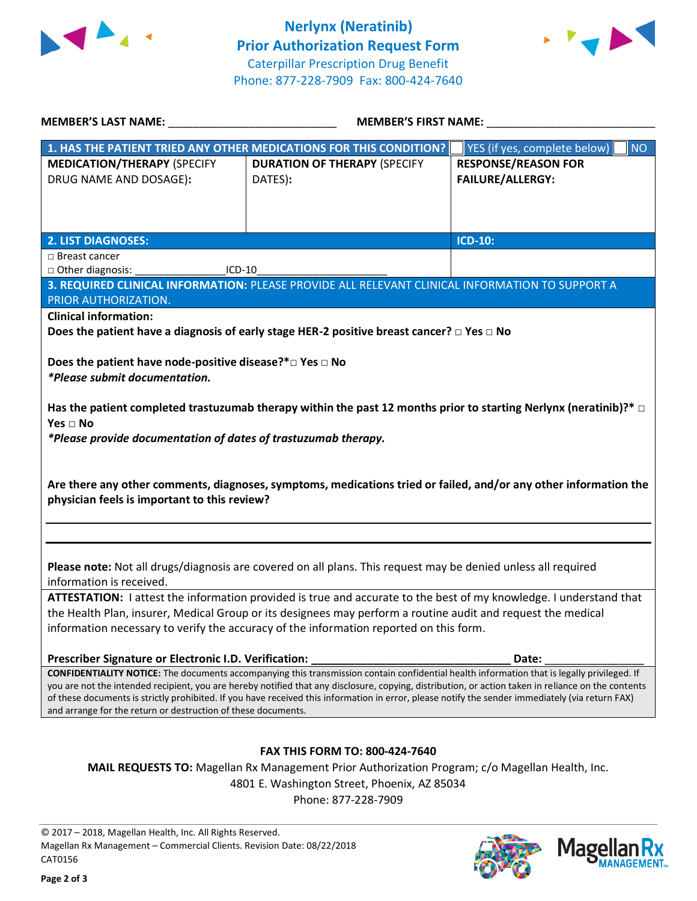



| <b>MEMBER'S LAST NAME:</b>                                                                                                                                                                                                                                                                              | <b>MEMBER'S FIRST NAME:</b>                                                                                                                                                                                                        |                                                       |  |  |  |
|---------------------------------------------------------------------------------------------------------------------------------------------------------------------------------------------------------------------------------------------------------------------------------------------------------|------------------------------------------------------------------------------------------------------------------------------------------------------------------------------------------------------------------------------------|-------------------------------------------------------|--|--|--|
|                                                                                                                                                                                                                                                                                                         | 1. HAS THE PATIENT TRIED ANY OTHER MEDICATIONS FOR THIS CONDITION?                                                                                                                                                                 | YES (if yes, complete below)<br><b>NO</b>             |  |  |  |
| <b>MEDICATION/THERAPY (SPECIFY</b><br>DRUG NAME AND DOSAGE):                                                                                                                                                                                                                                            | <b>DURATION OF THERAPY (SPECIFY</b><br>DATES):                                                                                                                                                                                     | <b>RESPONSE/REASON FOR</b><br><b>FAILURE/ALLERGY:</b> |  |  |  |
| <b>2. LIST DIAGNOSES:</b>                                                                                                                                                                                                                                                                               |                                                                                                                                                                                                                                    | ICD-10:                                               |  |  |  |
| □ Breast cancer                                                                                                                                                                                                                                                                                         |                                                                                                                                                                                                                                    |                                                       |  |  |  |
| □ Other diagnosis:<br>ICD-10                                                                                                                                                                                                                                                                            |                                                                                                                                                                                                                                    |                                                       |  |  |  |
| PRIOR AUTHORIZATION.                                                                                                                                                                                                                                                                                    | 3. REQUIRED CLINICAL INFORMATION: PLEASE PROVIDE ALL RELEVANT CLINICAL INFORMATION TO SUPPORT A                                                                                                                                    |                                                       |  |  |  |
| <b>Clinical information:</b>                                                                                                                                                                                                                                                                            |                                                                                                                                                                                                                                    |                                                       |  |  |  |
|                                                                                                                                                                                                                                                                                                         | Does the patient have a diagnosis of early stage HER-2 positive breast cancer? $\Box$ Yes $\Box$ No                                                                                                                                |                                                       |  |  |  |
| Does the patient have node-positive disease?* $\square$ Yes $\square$ No<br>*Please submit documentation.                                                                                                                                                                                               |                                                                                                                                                                                                                                    |                                                       |  |  |  |
| Has the patient completed trastuzumab therapy within the past 12 months prior to starting Nerlynx (neratinib)?* $\Box$<br>Yes $\Box$ No<br>*Please provide documentation of dates of trastuzumab therapy.                                                                                               |                                                                                                                                                                                                                                    |                                                       |  |  |  |
| Are there any other comments, diagnoses, symptoms, medications tried or failed, and/or any other information the<br>physician feels is important to this review?                                                                                                                                        |                                                                                                                                                                                                                                    |                                                       |  |  |  |
| Please note: Not all drugs/diagnosis are covered on all plans. This request may be denied unless all required<br>information is received.                                                                                                                                                               |                                                                                                                                                                                                                                    |                                                       |  |  |  |
|                                                                                                                                                                                                                                                                                                         | ATTESTATION: I attest the information provided is true and accurate to the best of my knowledge. I understand that<br>the Health Plan, insurer, Medical Group or its designees may perform a routine audit and request the medical |                                                       |  |  |  |
| information necessary to verify the accuracy of the information reported on this form.                                                                                                                                                                                                                  |                                                                                                                                                                                                                                    |                                                       |  |  |  |
| Prescriber Signature or Electronic I.D. Verification:                                                                                                                                                                                                                                                   |                                                                                                                                                                                                                                    | Date:                                                 |  |  |  |
| CONFIDENTIALITY NOTICE: The documents accompanying this transmission contain confidential health information that is legally privileged. If                                                                                                                                                             |                                                                                                                                                                                                                                    |                                                       |  |  |  |
| you are not the intended recipient, you are hereby notified that any disclosure, copying, distribution, or action taken in reliance on the contents<br>of these documents is strictly prohibited. If you have received this information in error, please notify the sender immediately (via return FAX) |                                                                                                                                                                                                                                    |                                                       |  |  |  |
| and arrange for the return or destruction of these documents.                                                                                                                                                                                                                                           |                                                                                                                                                                                                                                    |                                                       |  |  |  |
|                                                                                                                                                                                                                                                                                                         | <b>FAX THIS FORM TO: 800-424-7640</b>                                                                                                                                                                                              |                                                       |  |  |  |
| MAIL REQUESTS TO: Magellan Rx Management Prior Authorization Program; c/o Magellan Health, Inc.                                                                                                                                                                                                         |                                                                                                                                                                                                                                    |                                                       |  |  |  |
| 4801 E. Washington Street, Phoenix, AZ 85034                                                                                                                                                                                                                                                            |                                                                                                                                                                                                                                    |                                                       |  |  |  |
|                                                                                                                                                                                                                                                                                                         | Phone: 877-228-7909                                                                                                                                                                                                                |                                                       |  |  |  |
|                                                                                                                                                                                                                                                                                                         |                                                                                                                                                                                                                                    |                                                       |  |  |  |

© 2017 – 2018, Magellan Health, Inc. All Rights Reserved. Magellan Rx Management – Commercial Clients. Revision Date: 08/22/2018 CAT0156